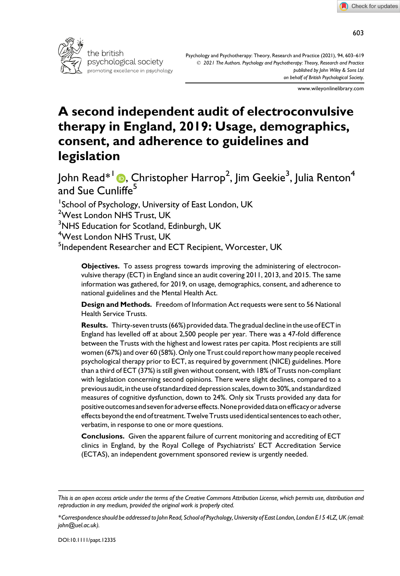

Psychology and Psychotherapy: Theory, Research and Practice (2021), 94, 603–619 © 2021 The Authors. Psychology and Psychotherapy: Theory, Research and Practice published by John Wiley & Sons Ltd on behalf of British Psychological Society.

www.wileyonlinelibrary.com

# A second independent audit of electroconvulsive therapy in England, 2019: Usage, demographics, consent, and adherence to guidelines and legislation

John Read $^{\ast\, \text{l}}$  (D, Christopher Harrop<sup>2</sup>, Jim Geekie $^3$ , Julia Renton $^4$ and Sue Cunliffe<sup>5</sup>

<sup>1</sup>School of Psychology, University of East London, UK <sup>2</sup>West London NHS Trust, UK  $^3$ NHS Education for Scotland, Edinburgh, UK 4 West London NHS Trust, UK <sup>5</sup>Independent Researcher and ECT Recipient, Worcester, UK

> Objectives. To assess progress towards improving the administering of electroconvulsive therapy (ECT) in England since an audit covering 2011, 2013, and 2015. The same information was gathered, for 2019, on usage, demographics, consent, and adherence to national guidelines and the Mental Health Act.

> Design and Methods. Freedom of Information Act requests were sent to 56 National Health Service Trusts.

> Results. Thirty-seven trusts (66%) provided data. The gradual decline in the use of ECT in England has levelled off at about 2,500 people per year. There was a 47-fold difference between the Trusts with the highest and lowest rates per capita. Most recipients are still women (67%) and over 60 (58%). Only one Trust could report how many people received psychological therapy prior to ECT, as required by government (NICE) guidelines. More than a third of ECT (37%) is still given without consent, with 18% of Trusts non-compliant with legislation concerning second opinions. There were slight declines, compared to a previous audit, in the use of standardized depression scales, down to 30%, and standardized measures of cognitive dysfunction, down to 24%. Only six Trusts provided any data for positiveoutcomes and sevenforadverseeffects.None provided data onefficacyor adverse effects beyond the end of treatment. Twelve Trusts used identical sentences to each other, verbatim, in response to one or more questions.

> Conclusions. Given the apparent failure of current monitoring and accrediting of ECT clinics in England, by the Royal College of Psychiatrists' ECT Accreditation Service (ECTAS), an independent government sponsored review is urgently needed.

This is an open access article under the terms of the [Creative Commons Attribution](http://creativecommons.org/licenses/by/4.0/) License, which permits use, distribution and reproduction in any medium, provided the original work is properly cited.

<sup>\*</sup>Correspondence should be addressed to John Read, School of Psychology, University of East London, London E15 4LZ, UK (email: [john@uel.ac.uk](mailto:)).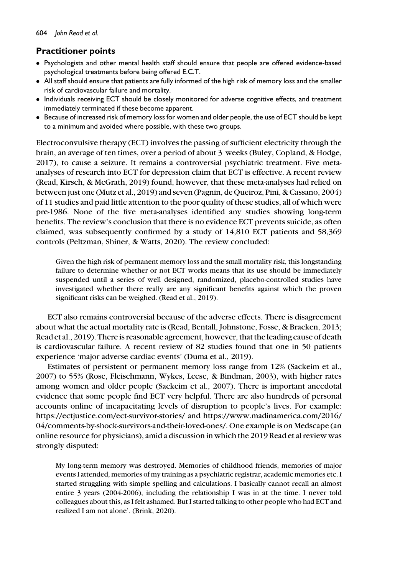# Practitioner points

- Psychologists and other mental health staff should ensure that people are offered evidence-based psychological treatments before being offered E.C.T.
- All staff should ensure that patients are fully informed of the high risk of memory loss and the smaller risk of cardiovascular failure and mortality.
- Individuals receiving ECT should be closely monitored for adverse cognitive effects, and treatment immediately terminated if these become apparent.
- Because of increased risk of memory loss for women and older people, the use of ECT should be kept to a minimum and avoided where possible, with these two groups.

Electroconvulsive therapy (ECT) involves the passing of sufficient electricity through the brain, an average of ten times, over a period of about 3 weeks (Buley, Copland, & Hodge, 2017), to cause a seizure. It remains a controversial psychiatric treatment. Five metaanalyses of research into ECT for depression claim that ECT is effective. A recent review (Read, Kirsch, & McGrath, 2019) found, however, that these meta-analyses had relied on between just one (Mutz et al., 2019) and seven (Pagnin, de Queiroz, Pini, & Cassano, 2004) of 11 studies and paid little attention to the poor quality of these studies, all of which were pre-1986. None of the five meta-analyses identified any studies showing long-term benefits. The review's conclusion that there is no evidence ECT prevents suicide, as often claimed, was subsequently confirmed by a study of 14,810 ECT patients and 58,369 controls (Peltzman, Shiner, & Watts, 2020). The review concluded:

Given the high risk of permanent memory loss and the small mortality risk, this longstanding failure to determine whether or not ECT works means that its use should be immediately suspended until a series of well designed, randomized, placebo-controlled studies have investigated whether there really are any significant benefits against which the proven significant risks can be weighed. (Read et al., 2019).

ECT also remains controversial because of the adverse effects. There is disagreement about what the actual mortality rate is (Read, Bentall, Johnstone, Fosse, & Bracken, 2013; Read et al., 2019). There is reasonable agreement, however, that the leading cause of death is cardiovascular failure. A recent review of 82 studies found that one in 50 patients experience 'major adverse cardiac events' (Duma et al., 2019).

Estimates of persistent or permanent memory loss range from 12% (Sackeim et al., 2007) to 55% (Rose, Fleischmann, Wykes, Leese, & Bindman, 2003), with higher rates among women and older people (Sackeim et al., 2007). There is important anecdotal evidence that some people find ECT very helpful. There are also hundreds of personal accounts online of incapacitating levels of disruption to people's lives. For example: <https://ectjustice.com/ect-survivor-stories/> and [https://www.madinamerica.com/2016/](https://www.madinamerica.com/2016/04/comments-by-shock-survivors-and-their-loved-ones/) [04/comments-by-shock-survivors-and-their-loved-ones/.](https://www.madinamerica.com/2016/04/comments-by-shock-survivors-and-their-loved-ones/) One example is on Medscape (an online resource for physicians), amid a discussion in which the 2019 Read et al review was strongly disputed:

My long-term memory was destroyed. Memories of childhood friends, memories of major events I attended, memories of my training as a psychiatric registrar, academic memories etc. I started struggling with simple spelling and calculations. I basically cannot recall an almost entire 3 years (2004-2006), including the relationship I was in at the time. I never told colleagues about this, as I felt ashamed. But I started talking to other people who had ECT and realized I am not alone'. (Brink, 2020).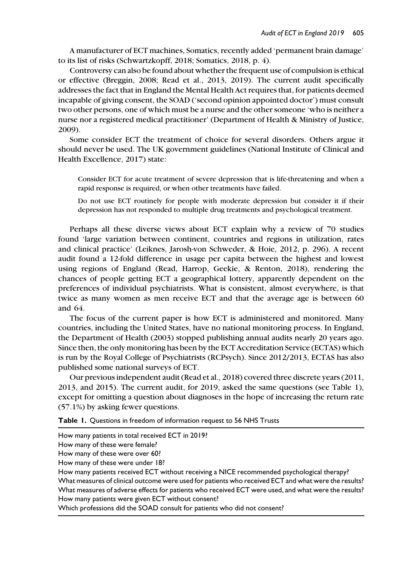A manufacturer of ECT machines, Somatics, recently added 'permanent brain damage' to its list of risks (Schwartzkopff, 2018; Somatics, 2018, p. 4).

Controversy can also be found about whether the frequent use of compulsion is ethical or effective (Breggin, 2008; Read et al., 2013, 2019). The current audit specifically addresses the fact that in England the Mental Health Act requires that, for patients deemed incapable of giving consent, the SOAD ('second opinion appointed doctor') must consult two other persons, one of which must be a nurse and the other someone 'who is neither a nurse nor a registered medical practitioner' (Department of Health & Ministry of Justice, 2009).

Some consider ECT the treatment of choice for several disorders. Others argue it should never be used. The UK government guidelines (National Institute of Clinical and Health Excellence, 2017) state:

Consider ECT for acute treatment of severe depression that is life-threatening and when a rapid response is required, or when other treatments have failed.

Do not use ECT routinely for people with moderate depression but consider it if their depression has not responded to multiple drug treatments and psychological treatment.

Perhaps all these diverse views about ECT explain why a review of 70 studies found 'large variation between continent, countries and regions in utilization, rates and clinical practice' (Leiknes, Jarosh-von Schweder, & Hoie, 2012, p. 296). A recent audit found a 12-fold difference in usage per capita between the highest and lowest using regions of England (Read, Harrop, Geekie, & Renton, 2018), rendering the chances of people getting ECT a geographical lottery, apparently dependent on the preferences of individual psychiatrists. What is consistent, almost everywhere, is that twice as many women as men receive ECT and that the average age is between 60 and 64.

The focus of the current paper is how ECT is administered and monitored. Many countries, including the United States, have no national monitoring process. In England, the Department of Health (2003) stopped publishing annual audits nearly 20 years ago. Since then, the only monitoring has been by the ECT Accreditation Service (ECTAS) which is run by the Royal College of Psychiatrists (RCPsych). Since 2012/2013, ECTAS has also published some national surveys of ECT.

Our previous independent audit (Read et al., 2018) covered three discrete years (2011, 2013, and 2015). The current audit, for 2019, asked the same questions (see Table 1), except for omitting a question about diagnoses in the hope of increasing the return rate (57.1%) by asking fewer questions.

Table 1. Questions in freedom of information request to 56 NHS Trusts

How many patients in total received ECT in 2019?

How many of these were female?

How many of these were over 60?

How many of these were under 18?

How many patients received ECT without receiving a NICE recommended psychological therapy? What measures of clinical outcome were used for patients who received ECT and what were the results? What measures of adverse effects for patients who received ECT were used, and what were the results? How many patients were given ECT without consent?

Which professions did the SOAD consult for patients who did not consent?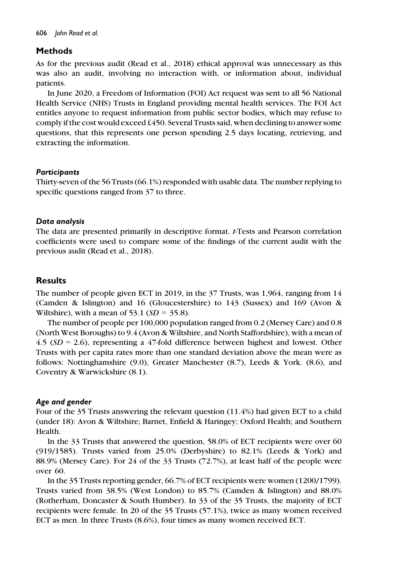## Methods

As for the previous audit (Read et al., 2018) ethical approval was unnecessary as this was also an audit, involving no interaction with, or information about, individual patients.

In June 2020, a Freedom of Information (FOI) Act request was sent to all 56 National Health Service (NHS) Trusts in England providing mental health services. The FOI Act entitles anyone to request information from public sector bodies, which may refuse to comply if the cost would exceed  $£450$ . Several Trusts said, when declining to answer some questions, that this represents one person spending 2.5 days locating, retrieving, and extracting the information.

## **Participants**

Thirty-seven of the 56 Trusts (66.1%) responded with usable data. The number replying to specific questions ranged from 37 to three.

## Data analysis

The data are presented primarily in descriptive format. t-Tests and Pearson correlation coefficients were used to compare some of the findings of the current audit with the previous audit (Read et al., 2018).

## **Results**

The number of people given ECT in 2019, in the 37 Trusts, was 1,964, ranging from 14 (Camden & Islington) and 16 (Gloucestershire) to 143 (Sussex) and 169 (Avon & Wiltshire), with a mean of 53.1  $(SD = 35.8)$ .

The number of people per 100,000 population ranged from 0.2 (Mersey Care) and 0.8 (North West Boroughs) to 9.4 (Avon & Wiltshire, and North Staffordshire), with a mean of  $4.5$  ( $SD = 2.6$ ), representing a 47-fold difference between highest and lowest. Other Trusts with per capita rates more than one standard deviation above the mean were as follows: Nottinghamshire (9.0), Greater Manchester (8.7), Leeds & York. (8.6), and Coventry & Warwickshire (8.1).

## Age and gender

Four of the 35 Trusts answering the relevant question (11.4%) had given ECT to a child (under 18): Avon & Wiltshire; Barnet, Enfield & Haringey; Oxford Health; and Southern Health.

In the 33 Trusts that answered the question, 58.0% of ECT recipients were over 60 (919/1585). Trusts varied from 25.0% (Derbyshire) to 82.1% (Leeds & York) and 88.9% (Mersey Care). For 24 of the 33 Trusts (72.7%), at least half of the people were over 60.

In the 35 Trusts reporting gender, 66.7% of ECT recipients were women (1200/1799). Trusts varied from 38.5% (West London) to 85.7% (Camden & Islington) and 88.0% (Rotherham, Doncaster & South Humber). In 33 of the 35 Trusts, the majority of ECT recipients were female. In 20 of the 35 Trusts (57.1%), twice as many women received ECT as men. In three Trusts (8.6%), four times as many women received ECT.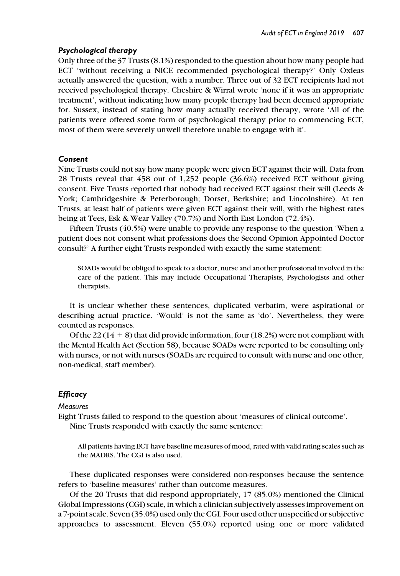#### Psychological therapy

Only three of the 37 Trusts (8.1%) responded to the question about how many people had ECT 'without receiving a NICE recommended psychological therapy?' Only Oxleas actually answered the question, with a number. Three out of 32 ECT recipients had not received psychological therapy. Cheshire & Wirral wrote 'none if it was an appropriate treatment', without indicating how many people therapy had been deemed appropriate for. Sussex, instead of stating how many actually received therapy, wrote 'All of the patients were offered some form of psychological therapy prior to commencing ECT, most of them were severely unwell therefore unable to engage with it'.

#### Consent

Nine Trusts could not say how many people were given ECT against their will. Data from 28 Trusts reveal that 458 out of 1,252 people (36.6%) received ECT without giving consent. Five Trusts reported that nobody had received ECT against their will (Leeds & York; Cambridgeshire & Peterborough; Dorset, Berkshire; and Lincolnshire). At ten Trusts, at least half of patients were given ECT against their will, with the highest rates being at Tees, Esk & Wear Valley (70.7%) and North East London (72.4%).

Fifteen Trusts (40.5%) were unable to provide any response to the question 'When a patient does not consent what professions does the Second Opinion Appointed Doctor consult?' A further eight Trusts responded with exactly the same statement:

SOADs would be obliged to speak to a doctor, nurse and another professional involved in the care of the patient. This may include Occupational Therapists, Psychologists and other therapists.

It is unclear whether these sentences, duplicated verbatim, were aspirational or describing actual practice. 'Would' is not the same as 'do'. Nevertheless, they were counted as responses.

Of the 22 (14  $+$  8) that did provide information, four (18.2%) were not compliant with the Mental Health Act (Section 58), because SOADs were reported to be consulting only with nurses, or not with nurses (SOADs are required to consult with nurse and one other, non-medical, staff member).

## **Efficacy**

**Measures** 

Eight Trusts failed to respond to the question about 'measures of clinical outcome'.

Nine Trusts responded with exactly the same sentence:

All patients having ECT have baseline measures of mood, rated with valid rating scales such as the MADRS. The CGI is also used.

These duplicated responses were considered non-responses because the sentence refers to 'baseline measures' rather than outcome measures.

Of the 20 Trusts that did respond appropriately, 17 (85.0%) mentioned the Clinical Global Impressions (CGI) scale, in which a clinician subjectively assesses improvement on a 7-point scale. Seven (35.0%) used only the CGI. Four used other unspecified or subjective approaches to assessment. Eleven (55.0%) reported using one or more validated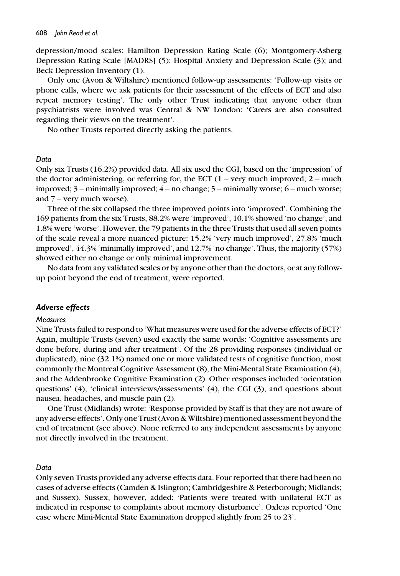depression/mood scales: Hamilton Depression Rating Scale (6); Montgomery-Asberg Depression Rating Scale [MADRS] (5); Hospital Anxiety and Depression Scale (3); and Beck Depression Inventory (1).

Only one (Avon & Wiltshire) mentioned follow-up assessments: 'Follow-up visits or phone calls, where we ask patients for their assessment of the effects of ECT and also repeat memory testing'. The only other Trust indicating that anyone other than psychiatrists were involved was Central & NW London: 'Carers are also consulted regarding their views on the treatment'.

No other Trusts reported directly asking the patients.

#### Data

Only six Trusts (16.2%) provided data. All six used the CGI, based on the 'impression' of the doctor administering, or referring for, the ECT  $(1 - \text{very much improved}; 2 - \text{much})$ improved; 3 – minimally improved; 4 – no change; 5 – minimally worse; 6 – much worse; and  $7$  – very much worse).

Three of the six collapsed the three improved points into 'improved'. Combining the 169 patients from the six Trusts, 88.2% were 'improved', 10.1% showed 'no change', and 1.8% were 'worse'. However, the 79 patients in the three Trusts that used all seven points of the scale reveal a more nuanced picture: 15.2% 'very much improved', 27.8% 'much improved', 44.3% 'minimally improved', and 12.7% 'no change'. Thus, the majority (57%) showed either no change or only minimal improvement.

No data from any validated scales or by anyone other than the doctors, or at any followup point beyond the end of treatment, were reported.

#### Adverse effects

#### **Measures**

Nine Trusts failed to respond to 'What measures were used for the adverse effects of ECT?' Again, multiple Trusts (seven) used exactly the same words: 'Cognitive assessments are done before, during and after treatment'. Of the 28 providing responses (individual or duplicated), nine (32.1%) named one or more validated tests of cognitive function, most commonly the Montreal Cognitive Assessment (8), the Mini-Mental State Examination (4), and the Addenbrooke Cognitive Examination (2). Other responses included 'orientation questions' (4), 'clinical interviews/assessments' (4), the CGI (3), and questions about nausea, headaches, and muscle pain (2).

One Trust (Midlands) wrote: 'Response provided by Staff is that they are not aware of any adverse effects'. Only one Trust (Avon & Wiltshire) mentioned assessment beyond the end of treatment (see above). None referred to any independent assessments by anyone not directly involved in the treatment.

#### Data

Only seven Trusts provided any adverse effects data. Four reported that there had been no cases of adverse effects (Camden & Islington; Cambridgeshire & Peterborough; Midlands; and Sussex). Sussex, however, added: 'Patients were treated with unilateral ECT as indicated in response to complaints about memory disturbance'. Oxleas reported 'One case where Mini-Mental State Examination dropped slightly from 25 to 23'.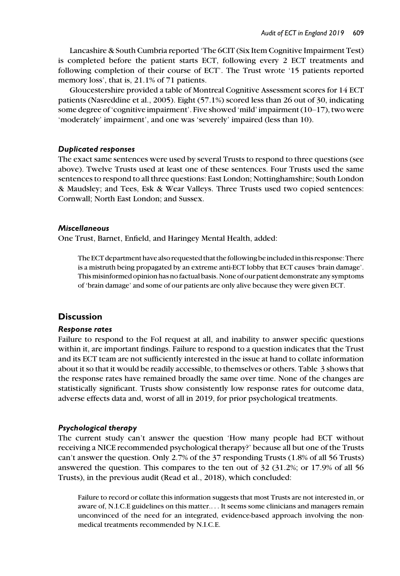Lancashire & South Cumbria reported 'The 6CIT (Six Item Cognitive Impairment Test) is completed before the patient starts ECT, following every 2 ECT treatments and following completion of their course of ECT'. The Trust wrote '15 patients reported memory loss', that is, 21.1% of 71 patients.

Gloucestershire provided a table of Montreal Cognitive Assessment scores for 14 ECT patients (Nasreddine et al., 2005). Eight (57.1%) scored less than 26 out of 30, indicating some degree of 'cognitive impairment'. Five showed 'mild' impairment (10–17), two were 'moderately' impairment', and one was 'severely' impaired (less than 10).

#### Duplicated responses

The exact same sentences were used by several Trusts to respond to three questions (see above). Twelve Trusts used at least one of these sentences. Four Trusts used the same sentences to respond to all three questions: East London; Nottinghamshire; South London & Maudsley; and Tees, Esk & Wear Valleys. Three Trusts used two copied sentences: Cornwall; North East London; and Sussex.

#### Miscellaneous

One Trust, Barnet, Enfield, and Haringey Mental Health, added:

The ECT department have also requested that the following beincludedin this response: There is a mistruth being propagated by an extreme anti-ECT lobby that ECT causes 'brain damage'. This misinformed opinion has no factual basis. None of our patient demonstrate any symptoms of 'brain damage' and some of our patients are only alive because they were given ECT.

#### **Discussion**

#### Response rates

Failure to respond to the FoI request at all, and inability to answer specific questions within it, are important findings. Failure to respond to a question indicates that the Trust and its ECT team are not sufficiently interested in the issue at hand to collate information about it so that it would be readily accessible, to themselves or others. Table 3 shows that the response rates have remained broadly the same over time. None of the changes are statistically significant. Trusts show consistently low response rates for outcome data, adverse effects data and, worst of all in 2019, for prior psychological treatments.

#### Psychological therapy

The current study can't answer the question 'How many people had ECT without receiving a NICE recommended psychological therapy?' because all but one of the Trusts can't answer the question. Only 2.7% of the 37 responding Trusts (1.8% of all 56 Trusts) answered the question. This compares to the ten out of 32 (31.2%; or 17.9% of all 56 Trusts), in the previous audit (Read et al., 2018), which concluded:

Failure to record or collate this information suggests that most Trusts are not interested in, or aware of, N.I.C.E guidelines on this matter.... It seems some clinicians and managers remain unconvinced of the need for an integrated, evidence-based approach involving the nonmedical treatments recommended by N.I.C.E.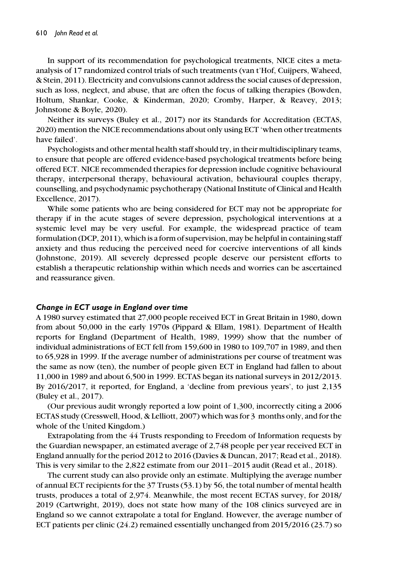In support of its recommendation for psychological treatments, NICE cites a metaanalysis of 17 randomized control trials of such treatments (van t'Hof, Cuijpers, Waheed, & Stein, 2011). Electricity and convulsions cannot address the social causes of depression, such as loss, neglect, and abuse, that are often the focus of talking therapies (Bowden, Holtum, Shankar, Cooke, & Kinderman, 2020; Cromby, Harper, & Reavey, 2013; Johnstone & Boyle, 2020).

Neither its surveys (Buley et al., 2017) nor its Standards for Accreditation (ECTAS, 2020) mention the NICE recommendations about only using ECT 'when other treatments have failed'.

Psychologists and other mental health staff should try, in their multidisciplinary teams, to ensure that people are offered evidence-based psychological treatments before being offered ECT. NICE recommended therapies for depression include cognitive behavioural therapy, interpersonal therapy, behavioural activation, behavioural couples therapy, counselling, and psychodynamic psychotherapy (National Institute of Clinical and Health Excellence, 2017).

While some patients who are being considered for ECT may not be appropriate for therapy if in the acute stages of severe depression, psychological interventions at a systemic level may be very useful. For example, the widespread practice of team formulation (DCP, 2011), which is a form of supervision, may be helpful in containing staff anxiety and thus reducing the perceived need for coercive interventions of all kinds (Johnstone, 2019). All severely depressed people deserve our persistent efforts to establish a therapeutic relationship within which needs and worries can be ascertained and reassurance given.

#### Change in ECT usage in England over time

A 1980 survey estimated that 27,000 people received ECT in Great Britain in 1980, down from about 50,000 in the early 1970s (Pippard & Ellam, 1981). Department of Health reports for England (Department of Health, 1989, 1999) show that the number of individual administrations of ECT fell from 159,600 in 1980 to 109,707 in 1989, and then to 65,928 in 1999. If the average number of administrations per course of treatment was the same as now (ten), the number of people given ECT in England had fallen to about 11,000 in 1989 and about 6,500 in 1999. ECTAS began its national surveys in 2012/2013. By 2016/2017, it reported, for England, a 'decline from previous years', to just 2,135 (Buley et al., 2017).

(Our previous audit wrongly reported a low point of 1,300, incorrectly citing a 2006 ECTAS study (Cresswell, Hood, & Lelliott, 2007) which was for 3 months only, and for the whole of the United Kingdom.)

Extrapolating from the 44 Trusts responding to Freedom of Information requests by the Guardian newspaper, an estimated average of 2,748 people per year received ECT in England annually for the period 2012 to 2016 (Davies & Duncan, 2017; Read et al., 2018). This is very similar to the 2,822 estimate from our 2011–2015 audit (Read et al., 2018).

The current study can also provide only an estimate. Multiplying the average number of annual ECT recipients for the 37 Trusts (53.1) by 56, the total number of mental health trusts, produces a total of 2,974. Meanwhile, the most recent ECTAS survey, for 2018/ 2019 (Cartwright, 2019), does not state how many of the 108 clinics surveyed are in England so we cannot extrapolate a total for England. However, the average number of ECT patients per clinic (24.2) remained essentially unchanged from 2015/2016 (23.7) so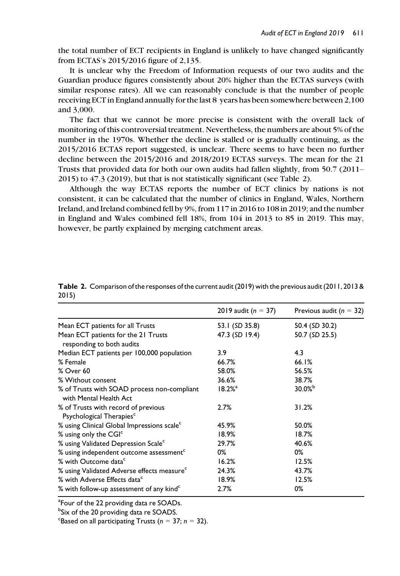the total number of ECT recipients in England is unlikely to have changed significantly from ECTAS's 2015/2016 figure of 2,135.

It is unclear why the Freedom of Information requests of our two audits and the Guardian produce figures consistently about 20% higher than the ECTAS surveys (with similar response rates). All we can reasonably conclude is that the number of people receiving ECT in England annually for the last 8 years has been somewhere between 2,100 and 3,000.

The fact that we cannot be more precise is consistent with the overall lack of monitoring of this controversial treatment. Nevertheless, the numbers are about 5% of the number in the 1970s. Whether the decline is stalled or is gradually continuing, as the 2015/2016 ECTAS report suggested, is unclear. There seems to have been no further decline between the 2015/2016 and 2018/2019 ECTAS surveys. The mean for the 21 Trusts that provided data for both our own audits had fallen slightly, from 50.7 (2011– 2015) to 47.3 (2019), but that is not statistically significant (see Table 2).

Although the way ECTAS reports the number of ECT clinics by nations is not consistent, it can be calculated that the number of clinics in England, Wales, Northern Ireland, and Ireland combined fell by 9%, from 117 in 2016 to 108 in 2019; and the number in England and Wales combined fell 18%, from 104 in 2013 to 85 in 2019. This may, however, be partly explained by merging catchment areas.

|                                                                             | 2019 audit ( $n = 37$ ) | Previous audit ( $n = 32$ ) |
|-----------------------------------------------------------------------------|-------------------------|-----------------------------|
| Mean ECT patients for all Trusts                                            | 53.1 (SD 35.8)          | 50.4 (SD 30.2)              |
| Mean ECT patients for the 21 Trusts<br>responding to both audits            | 47.3 (SD 19.4)          | 50.7 (SD 25.5)              |
| Median ECT patients per 100,000 population                                  | 3.9                     | 4.3                         |
| % Female                                                                    | 66.7%                   | 66.1%                       |
| % Over 60                                                                   | 58.0%                   | 56.5%                       |
| % Without consent                                                           | 36.6%                   | 38.7%                       |
| % of Trusts with SOAD process non-compliant<br>with Mental Health Act       | $18.2%$ <sup>a</sup>    | $30.0%^{b}$                 |
| % of Trusts with record of previous<br>Psychological Therapies <sup>c</sup> | 2.7%                    | 31.2%                       |
| % using Clinical Global Impressions scale <sup>c</sup>                      | 45.9%                   | 50.0%                       |
| % using only the CGI <sup>c</sup>                                           | 18.9%                   | 18.7%                       |
| % using Validated Depression Scale <sup>c</sup>                             | 29.7%                   | 40.6%                       |
| % using independent outcome assessment <sup>c</sup>                         | 0%                      | 0%                          |
| % with Outcome data <sup>c</sup>                                            | 16.2%                   | 12.5%                       |
| % using Validated Adverse effects measure <sup>c</sup>                      | 24.3%                   | 43.7%                       |
| % with Adverse Effects data <sup>c</sup>                                    | 18.9%                   | 12.5%                       |
| % with follow-up assessment of any kind <sup>c</sup>                        | 2.7%                    | 0%                          |

Table 2. Comparison of the responses of the current audit (2019) with the previous audit (2011, 2013 & 2015)

<sup>a</sup>Four of the 22 providing data re SOADs.

<sup>b</sup>Six of the 20 providing data re SOADS.

<sup>c</sup>Based on all participating Trusts ( $n = 37$ ;  $n = 32$ ).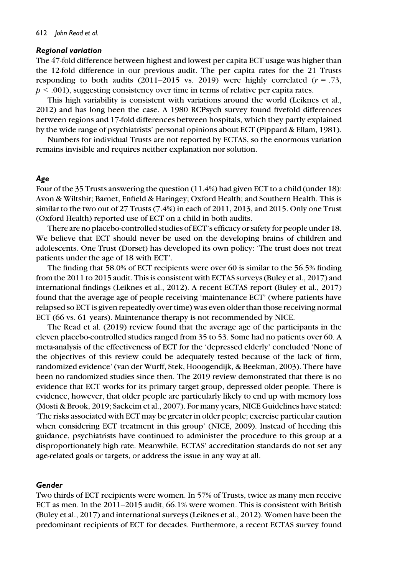#### Regional variation

The 47-fold difference between highest and lowest per capita ECT usage was higher than the 12-fold difference in our previous audit. The per capita rates for the 21 Trusts responding to both audits (2011–2015 vs. 2019) were highly correlated  $(r = .73)$ ,  $p < .001$ ), suggesting consistency over time in terms of relative per capita rates.

This high variability is consistent with variations around the world (Leiknes et al., 2012) and has long been the case. A 1980 RCPsych survey found fivefold differences between regions and 17-fold differences between hospitals, which they partly explained by the wide range of psychiatrists' personal opinions about ECT (Pippard & Ellam, 1981).

Numbers for individual Trusts are not reported by ECTAS, so the enormous variation remains invisible and requires neither explanation nor solution.

#### Age

Four of the 35 Trusts answering the question (11.4%) had given ECT to a child (under 18): Avon & Wiltshir; Barnet, Enfield & Haringey; Oxford Health; and Southern Health. This is similar to the two out of 27 Trusts (7.4%) in each of 2011, 2013, and 2015. Only one Trust (Oxford Health) reported use of ECT on a child in both audits.

There are no placebo-controlled studies of ECT's efficacy or safety for people under 18. We believe that ECT should never be used on the developing brains of children and adolescents. One Trust (Dorset) has developed its own policy: 'The trust does not treat patients under the age of 18 with ECT'.

The finding that 58.0% of ECT recipients were over 60 is similar to the 56.5% finding from the 2011 to 2015 audit. This is consistent with ECTAS surveys (Buley et al., 2017) and international findings (Leiknes et al., 2012). A recent ECTAS report (Buley et al., 2017) found that the average age of people receiving 'maintenance ECT' (where patients have relapsed so ECT is given repeatedly over time) was even older than those receiving normal ECT (66 vs. 61 years). Maintenance therapy is not recommended by NICE.

The Read et al. (2019) review found that the average age of the participants in the eleven placebo-controlled studies ranged from 35 to 53. Some had no patients over 60. A meta-analysis of the effectiveness of ECT for the 'depressed elderly' concluded 'None of the objectives of this review could be adequately tested because of the lack of firm, randomized evidence' (van der Wurff, Stek, Hooogendijk, & Beekman, 2003). There have been no randomized studies since then. The 2019 review demonstrated that there is no evidence that ECT works for its primary target group, depressed older people. There is evidence, however, that older people are particularly likely to end up with memory loss (Mosti & Brook, 2019; Sackeim et al., 2007). For many years, NICE Guidelines have stated: 'The risks associated with ECT may be greater in older people; exercise particular caution when considering ECT treatment in this group' (NICE, 2009). Instead of heeding this guidance, psychiatrists have continued to administer the procedure to this group at a disproportionately high rate. Meanwhile, ECTAS' accreditation standards do not set any age-related goals or targets, or address the issue in any way at all.

#### Gender

Two thirds of ECT recipients were women. In 57% of Trusts, twice as many men receive ECT as men. In the 2011–2015 audit, 66.1% were women. This is consistent with British (Buley et al., 2017) and international surveys (Leiknes et al., 2012). Women have been the predominant recipients of ECT for decades. Furthermore, a recent ECTAS survey found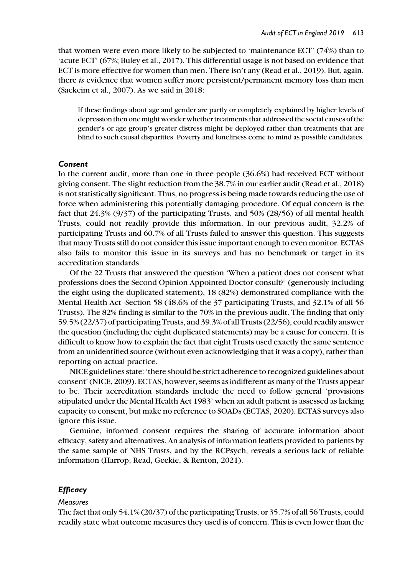that women were even more likely to be subjected to 'maintenance ECT' (74%) than to 'acute ECT' (67%; Buley et al., 2017). This differential usage is not based on evidence that ECT is more effective for women than men. There isn't any (Read et al., 2019). But, again, there *is* evidence that women suffer more persistent/permanent memory loss than men (Sackeim et al., 2007). As we said in 2018:

If these findings about age and gender are partly or completely explained by higher levels of depression then one might wonder whether treatments that addressed the social causes of the gender's or age group's greater distress might be deployed rather than treatments that are blind to such causal disparities. Poverty and loneliness come to mind as possible candidates.

#### Consent

In the current audit, more than one in three people (36.6%) had received ECT without giving consent. The slight reduction from the 38.7% in our earlier audit (Read et al., 2018) is not statistically significant. Thus, no progress is being made towards reducing the use of force when administering this potentially damaging procedure. Of equal concern is the fact that 24.3% (9/37) of the participating Trusts, and 50% (28/56) of all mental health Trusts, could not readily provide this information. In our previous audit, 32.2% of participating Trusts and 60.7% of all Trusts failed to answer this question. This suggests that many Trusts still do not consider this issue important enough to even monitor. ECTAS also fails to monitor this issue in its surveys and has no benchmark or target in its accreditation standards.

Of the 22 Trusts that answered the question 'When a patient does not consent what professions does the Second Opinion Appointed Doctor consult?' (generously including the eight using the duplicated statement), 18 (82%) demonstrated compliance with the Mental Health Act -Section 58 (48.6% of the 37 participating Trusts, and 32.1% of all 56 Trusts). The 82% finding is similar to the 70% in the previous audit. The finding that only 59.5% (22/37) of participating Trusts, and 39.3% of all Trusts (22/56), could readily answer the question (including the eight duplicated statements) may be a cause for concern. It is difficult to know how to explain the fact that eight Trusts used exactly the same sentence from an unidentified source (without even acknowledging that it was a copy), rather than reporting on actual practice.

NICE guidelines state: 'there should be strict adherence to recognized guidelines about consent' (NICE, 2009). ECTAS, however, seems as indifferent as many of the Trusts appear to be. Their accreditation standards include the need to follow general 'provisions stipulated under the Mental Health Act 1983' when an adult patient is assessed as lacking capacity to consent, but make no reference to SOADs (ECTAS, 2020). ECTAS surveys also ignore this issue.

Genuine, informed consent requires the sharing of accurate information about efficacy, safety and alternatives. An analysis of information leaflets provided to patients by the same sample of NHS Trusts, and by the RCPsych, reveals a serious lack of reliable information (Harrop, Read, Geekie, & Renton, 2021).

## **Efficacy**

#### **Measures**

The fact that only 54.1% (20/37) of the participating Trusts, or 35.7% of all 56 Trusts, could readily state what outcome measures they used is of concern. This is even lower than the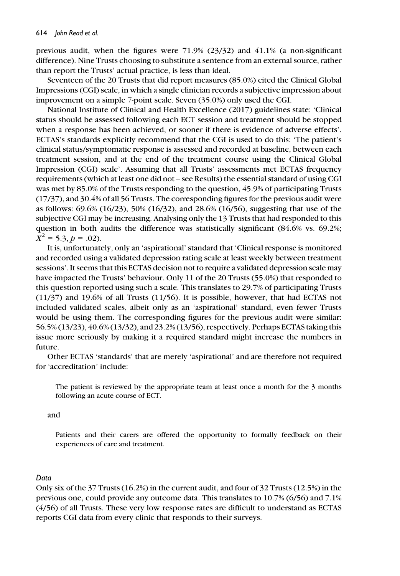previous audit, when the figures were 71.9% (23/32) and 41.1% (a non-significant difference). Nine Trusts choosing to substitute a sentence from an external source, rather than report the Trusts' actual practice, is less than ideal.

Seventeen of the 20 Trusts that did report measures (85.0%) cited the Clinical Global Impressions (CGI) scale, in which a single clinician records a subjective impression about improvement on a simple 7-point scale. Seven (35.0%) only used the CGI.

National Institute of Clinical and Health Excellence (2017) guidelines state: 'Clinical status should be assessed following each ECT session and treatment should be stopped when a response has been achieved, or sooner if there is evidence of adverse effects'. ECTAS's standards explicitly recommend that the CGI is used to do this: 'The patient's clinical status/symptomatic response is assessed and recorded at baseline, between each treatment session, and at the end of the treatment course using the Clinical Global Impression (CGI) scale'. Assuming that all Trusts' assessments met ECTAS frequency requirements (which at least one did not – see Results) the essential standard of using CGI was met by 85.0% of the Trusts responding to the question, 45.9% of participating Trusts (17/37), and 30.4% of all 56 Trusts. The corresponding figures for the previous audit were as follows: 69.6% (16/23), 50% (16/32), and 28.6% (16/56), suggesting that use of the subjective CGI may be increasing. Analysing only the 13 Trusts that had responded to this question in both audits the difference was statistically significant (84.6% vs. 69.2%;  $X^2 = 5.3, p = .02$ .

It is, unfortunately, only an 'aspirational' standard that 'Clinical response is monitored and recorded using a validated depression rating scale at least weekly between treatment sessions'. It seems that this ECTAS decision not to require a validated depression scale may have impacted the Trusts' behaviour. Only 11 of the 20 Trusts (55.0%) that responded to this question reported using such a scale. This translates to 29.7% of participating Trusts (11/37) and 19.6% of all Trusts (11/56). It is possible, however, that had ECTAS not included validated scales, albeit only as an 'aspirational' standard, even fewer Trusts would be using them. The corresponding figures for the previous audit were similar: 56.5% (13/23), 40.6% (13/32), and 23.2% (13/56), respectively. Perhaps ECTAS taking this issue more seriously by making it a required standard might increase the numbers in future.

Other ECTAS 'standards' that are merely 'aspirational' and are therefore not required for 'accreditation' include:

The patient is reviewed by the appropriate team at least once a month for the 3 months following an acute course of ECT.

and

Patients and their carers are offered the opportunity to formally feedback on their experiences of care and treatment.

## Data

Only six of the 37 Trusts (16.2%) in the current audit, and four of 32 Trusts (12.5%) in the previous one, could provide any outcome data. This translates to 10.7% (6/56) and 7.1% (4/56) of all Trusts. These very low response rates are difficult to understand as ECTAS reports CGI data from every clinic that responds to their surveys.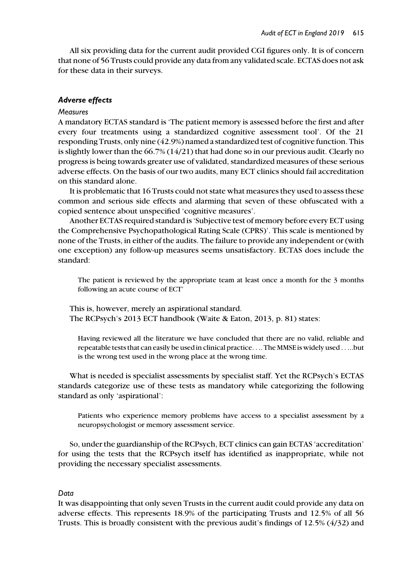All six providing data for the current audit provided CGI figures only. It is of concern that none of 56 Trusts could provide any data from any validated scale. ECTAS does not ask for these data in their surveys.

#### Adverse effects

#### **Measures**

A mandatory ECTAS standard is 'The patient memory is assessed before the first and after every four treatments using a standardized cognitive assessment tool'. Of the 21 responding Trusts, only nine (42.9%) named a standardized test of cognitive function. This is slightly lower than the  $66.7\%$   $(14/21)$  that had done so in our previous audit. Clearly no progress is being towards greater use of validated, standardized measures of these serious adverse effects. On the basis of our two audits, many ECT clinics should fail accreditation on this standard alone.

It is problematic that 16 Trusts could not state what measures they used to assess these common and serious side effects and alarming that seven of these obfuscated with a copied sentence about unspecified 'cognitive measures'.

Another ECTAS required standard is 'Subjective test of memory before every ECT using the Comprehensive Psychopathological Rating Scale (CPRS)'. This scale is mentioned by none of the Trusts, in either of the audits. The failure to provide any independent or (with one exception) any follow-up measures seems unsatisfactory. ECTAS does include the standard:

The patient is reviewed by the appropriate team at least once a month for the 3 months following an acute course of ECT'

This is, however, merely an aspirational standard. The RCPsych's 2013 ECT handbook (Waite & Eaton, 2013, p. 81) states:

Having reviewed all the literature we have concluded that there are no valid, reliable and repeatable tests that can easily be used in clinical practice.... The MMSE is widely used .....but is the wrong test used in the wrong place at the wrong time.

What is needed is specialist assessments by specialist staff. Yet the RCPsych's ECTAS standards categorize use of these tests as mandatory while categorizing the following standard as only 'aspirational':

Patients who experience memory problems have access to a specialist assessment by a neuropsychologist or memory assessment service.

So, under the guardianship of the RCPsych, ECT clinics can gain ECTAS 'accreditation' for using the tests that the RCPsych itself has identified as inappropriate, while not providing the necessary specialist assessments.

#### Data

It was disappointing that only seven Trusts in the current audit could provide any data on adverse effects. This represents 18.9% of the participating Trusts and 12.5% of all 56 Trusts. This is broadly consistent with the previous audit's findings of 12.5% (4/32) and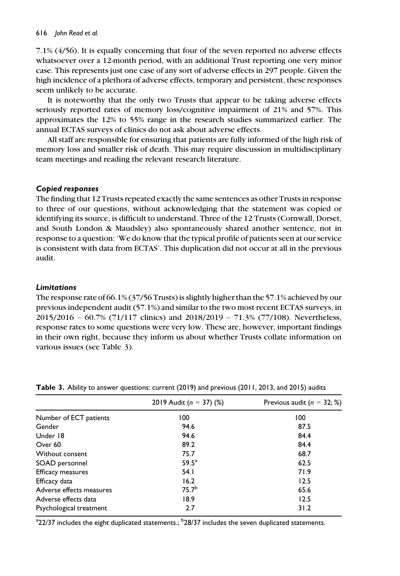7.1% (4/56). It is equally concerning that four of the seven reported no adverse effects whatsoever over a 12-month period, with an additional Trust reporting one very minor case. This represents just one case of any sort of adverse effects in 297 people. Given the high incidence of a plethora of adverse effects, temporary and persistent, these responses seem unlikely to be accurate.

It is noteworthy that the only two Trusts that appear to be taking adverse effects seriously reported rates of memory loss/cognitive impairment of 21% and 57%. This approximates the 12% to 55% range in the research studies summarized earlier. The annual ECTAS surveys of clinics do not ask about adverse effects.

All staff are responsible for ensuring that patients are fully informed of the high risk of memory loss and smaller risk of death. This may require discussion in multidisciplinary team meetings and reading the relevant research literature.

## Copied responses

The finding that 12 Trusts repeated exactly the same sentences as other Trusts in response to three of our questions, without acknowledging that the statement was copied or identifying its source, is difficult to understand. Three of the 12 Trusts (Cornwall, Dorset, and South London & Maudsley) also spontaneously shared another sentence, not in response to a question: 'We do know that the typical profile of patients seen at our service is consistent with data from ECTAS'. This duplication did not occur at all in the previous audit.

#### Limitations

The response rate of 66.1% (37/56 Trusts) is slightly higher than the 57.1% achieved by our previous independent audit (57.1%) and similar to the two most recent ECTAS surveys, in 2015/2016 – 60.7% (71/117 clinics) and 2018/2019 – 71.3% (77/108). Nevertheless, response rates to some questions were very low. These are, however, important findings in their own right, because they inform us about whether Trusts collate information on various issues (see Table 3).

|                          | 2019 Audit ( $n = 37$ ) (%) | Previous audit ( $n = 32;$ %) |
|--------------------------|-----------------------------|-------------------------------|
| Number of ECT patients   | 100                         | 100                           |
| Gender                   | 94.6                        | 87.5                          |
| Under 18                 | 94.6                        | 84.4                          |
| Over 60                  | 89.2                        | 84.4                          |
| Without consent          | 75.7                        | 68.7                          |
| SOAD personnel           | 59.5 <sup>a</sup>           | 62.5                          |
| Efficacy measures        | 54.1                        | 71.9                          |
| Efficacy data            | 16.2                        | 12.5                          |
| Adverse effects measures | 75.7 <sup>b</sup>           | 65.6                          |
| Adverse effects data     | 18.9                        | 12.5                          |
| Psychological treatment  | 2.7                         | 31.2                          |

Table 3. Ability to answer questions: current (2019) and previous (2011, 2013, and 2015) audits

 $^{\rm a}$ 22/37 includes the eight duplicated statements.;  $^{\rm b}$ 28/37 includes the seven duplicated statements.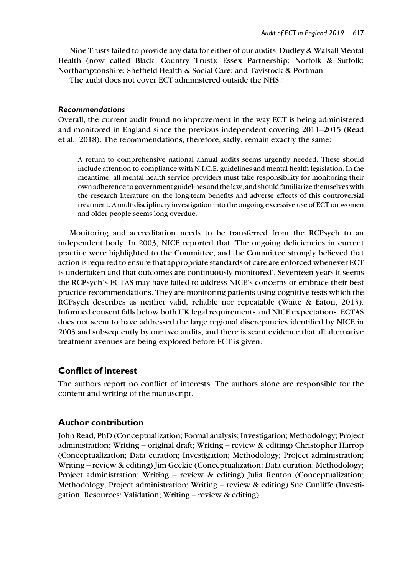Nine Trusts failed to provide any data for either of our audits: Dudley & Walsall Mental Health (now called Black |Country Trust); Essex Partnership; Norfolk & Suffolk; Northamptonshire; Sheffield Health & Social Care; and Tavistock & Portman.

The audit does not cover ECT administered outside the NHS.

#### Recommendations

Overall, the current audit found no improvement in the way ECT is being administered and monitored in England since the previous independent covering 2011–2015 (Read et al., 2018). The recommendations, therefore, sadly, remain exactly the same:

A return to comprehensive national annual audits seems urgently needed. These should include attention to compliance with N.I.C.E. guidelines and mental health legislation. In the meantime, all mental health service providers must take responsibility for monitoring their own adherence to government guidelines and the law, and should familiarize themselves with the research literature on the long-term benefits and adverse effects of this controversial treatment. A multidisciplinary investigation into the ongoing excessive use of ECT on women and older people seems long overdue.

Monitoring and accreditation needs to be transferred from the RCPsych to an independent body. In 2003, NICE reported that 'The ongoing deficiencies in current practice were highlighted to the Committee, and the Committee strongly believed that action is required to ensure that appropriate standards of care are enforced whenever ECT is undertaken and that outcomes are continuously monitored'. Seventeen years it seems the RCPsych's ECTAS may have failed to address NICE's concerns or embrace their best practice recommendations. They are monitoring patients using cognitive tests which the RCPsych describes as neither valid, reliable nor repeatable (Waite & Eaton, 2013). Informed consent falls below both UK legal requirements and NICE expectations. ECTAS does not seem to have addressed the large regional discrepancies identified by NICE in 2003 and subsequently by our two audits, and there is scant evidence that all alternative treatment avenues are being explored before ECT is given.

## Conflict of interest

The authors report no conflict of interests. The authors alone are responsible for the content and writing of the manuscript.

## Author contribution

John Read, PhD (Conceptualization; Formal analysis; Investigation; Methodology; Project administration; Writing – original draft; Writing – review & editing) Christopher Harrop (Conceptualization; Data curation; Investigation; Methodology; Project administration; Writing – review & editing) Jim Geekie (Conceptualization; Data curation; Methodology; Project administration; Writing – review & editing) Julia Renton (Conceptualization; Methodology; Project administration; Writing – review & editing) Sue Cunliffe (Investigation; Resources; Validation; Writing – review & editing).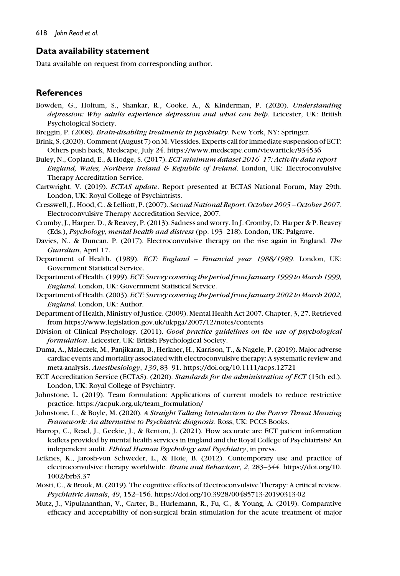## Data availability statement

Data available on request from corresponding author.

## **References**

- Bowden, G., Holtum, S., Shankar, R., Cooke, A., & Kinderman, P. (2020). Understanding depression: Why adults experience depression and what can help. Leicester, UK: British Psychological Society.
- Breggin, P. (2008). Brain-disabling treatments in psychiatry. New York, NY: Springer.
- Brink, S. (2020). Comment (August 7) on M. Vlessides. Experts call for immediate suspension of ECT: Others push back, Medscape, July 24.<https://www.medscape.com/viewarticle/934536>
- Buley, N., Copland, E., & Hodge, S. (2017). ECT minimum dataset 2016-17: Activity data report -England, Wales, Northern Ireland & Republic of Ireland. London, UK: Electroconvulsive Therapy Accreditation Service.
- Cartwright, V. (2019). ECTAS update. Report presented at ECTAS National Forum, May 29th. London, UK: Royal College of Psychiatrists.
- Cresswell, J., Hood, C., & Lelliott, P. (2007). Second National Report. October 2005 October 2007. Electroconvulsive Therapy Accreditation Service, 2007.
- Cromby, J., Harper, D., & Reavey, P. (2013). Sadness and worry. In J. Cromby, D. Harper & P. Reavey (Eds.), Psychology, mental health and distress (pp. 193-218). London, UK: Palgrave.
- Davies, N., & Duncan, P. (2017). Electroconvulsive therapy on the rise again in England. The Guardian, April 17.
- Department of Health. (1989). ECT: England Financial year 1988/1989. London, UK: Government Statistical Service.
- Department of Health. (1999). ECT: Survey covering the period from January 1999 to March 1999, England. London, UK: Government Statistical Service.
- Department of Health. (2003). ECT: Survey covering the period from January 2002 to March 2002, England. London, UK: Author.
- Department of Health, Ministry of Justice. (2009). Mental Health Act 2007. Chapter, 3, 27. Retrieved from<https://www.legislation.gov.uk/ukpga/2007/12/notes/contents>
- Division of Clinical Psychology. (2011). Good practice guidelines on the use of psychological formulation. Leicester, UK: British Psychological Society.
- Duma, A., Maleczek, M., Panjikaran, B., Herkner, H., Karrison, T., & Nagele, P. (2019). Major adverse cardiac events and mortality associated with electroconvulsive therapy: A systematic review and meta-analysis. Anesthesiology, 130, 83–91.<https://doi.org/10.1111/acps.12721>
- ECT Accreditation Service (ECTAS). (2020). Standards for the administration of ECT (15th ed.). London, UK: Royal College of Psychiatry.
- Johnstone, L. (2019). Team formulation: Applications of current models to reduce restrictive practice. [https://acpuk.org.uk/team\\_formulation/](https://acpuk.org.uk/team_formulation/)
- Johnstone, L., & Boyle, M. (2020). A Straight Talking Introduction to the Power Threat Meaning Framework: An alternative to Psychiatric diagnosis. Ross, UK: PCCS Books.
- Harrop, C., Read, J., Geekie, J., & Renton, J. (2021). How accurate are ECT patient information leaflets provided by mental health services in England and the Royal College of Psychiatrists? An independent audit. Ethical Human Psychology and Psychiatry, in press.
- Leiknes, K., Jarosh-von Schweder, L., & Hoie, B. (2012). Contemporary use and practice of electroconvulsive therapy worldwide. Brain and Behaviour, 2, 283-344. [https://doi.org/10.](https://doi.org/10.1002/brb3.37) [1002/brb3.37](https://doi.org/10.1002/brb3.37)
- Mosti, C., & Brook, M. (2019). The cognitive effects of Electroconvulsive Therapy: A critical review. Psychiatric Annals, 49, 152–156.<https://doi.org/10.3928/00485713-20190313-02>
- Mutz, J., Vipulananthan, V., Carter, B., Hurlemann, R., Fu, C., & Young, A. (2019). Comparative efficacy and acceptability of non-surgical brain stimulation for the acute treatment of major